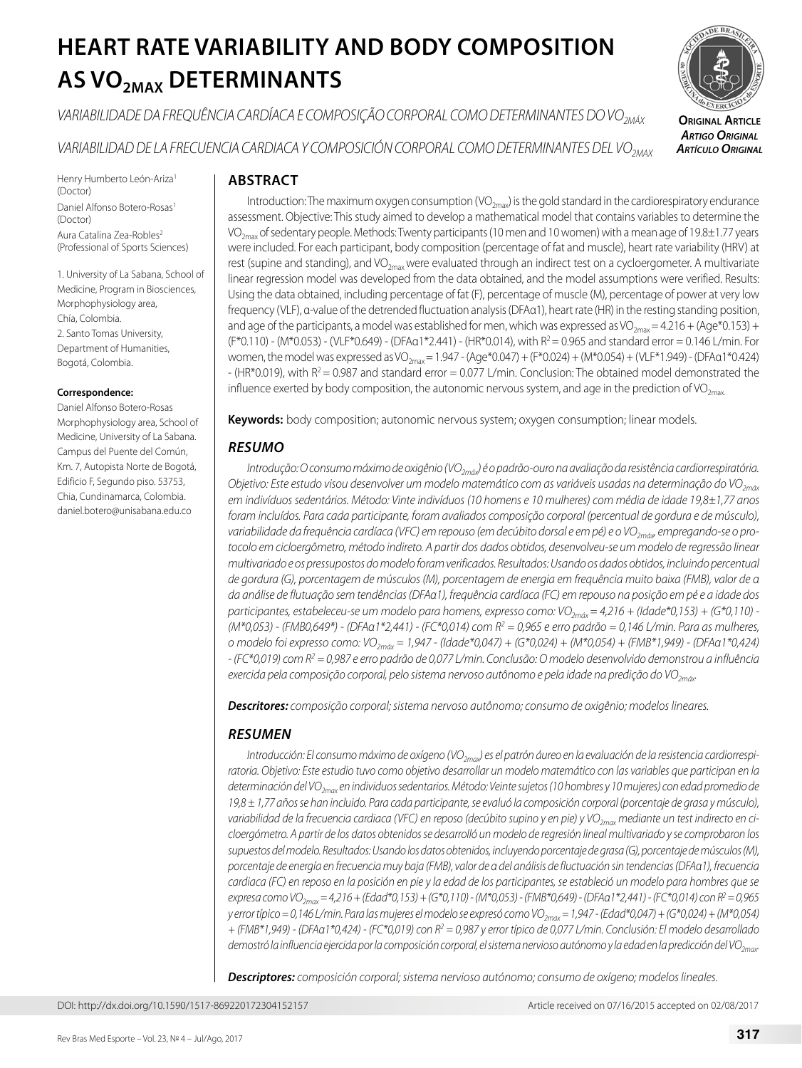# **HEART RATE VARIABILITY AND BODY COMPOSITION AS VO2MAX DETERMINANTS**

*VARIABILIDADE DA FREQUÊNCIA CARDÍACA E COMPOSIÇÃO CORPORAL COMO DETERMINANTES DO VO2MÁX*

*VARIABILIDAD DE LA FRECUENCIA CARDIACA Y COMPOSICIÓN CORPORAL COMO DETERMINANTES DEL VO2MAX*

**Original Article** *Artigo Original Artículo Original*

Henry Humberto León-Ariza<sup>1</sup> (Doctor) Daniel Alfonso Botero-Rosas<sup>1</sup> (Doctor) Aura Catalina Zea-Robles<sup>2</sup> (Professional of Sports Sciences)

1. University of La Sabana, School of Medicine, Program in Biosciences, Morphophysiology area, Chía, Colombia. 2. Santo Tomas University, Department of Humanities, Bogotá, Colombia.

#### **Correspondence:**

Daniel Alfonso Botero-Rosas Morphophysiology area, School of Medicine, University of La Sabana. Campus del Puente del Común, Km. 7, Autopista Norte de Bogotá, Edificio F, Segundo piso. 53753, Chia, Cundinamarca, Colombia. daniel.botero@unisabana.edu.co

## **ABSTRACT**

Introduction: The maximum oxygen consumption  $(VO_{2mav})$  is the gold standard in the cardiorespiratory endurance assessment. Objective: This study aimed to develop a mathematical model that contains variables to determine the VO<sub>2max</sub> of sedentary people. Methods: Twenty participants (10 men and 10 women) with a mean age of 19.8±1.77 years were included. For each participant, body composition (percentage of fat and muscle), heart rate variability (HRV) at rest (supine and standing), and VO<sub>2max</sub> were evaluated through an indirect test on a cycloergometer. A multivariate linear regression model was developed from the data obtained, and the model assumptions were verified. Results: Using the data obtained, including percentage of fat (F), percentage of muscle (M), percentage of power at very low frequency (VLF), α-value of the detrended fluctuation analysis (DFAα1), heart rate (HR) in the resting standing position, and age of the participants, a model was established for men, which was expressed as VO<sub>2max</sub> = 4.216 + (Age\*0.153) + (F\*0.110) - (M\*0.053) - (VLF\*0.649) - (DFAα1\*2.441) - (HR\*0.014), with R2 = 0.965 and standard error = 0.146 L/min. For women, the model was expressed as VO<sub>2max</sub> = 1.947 - (Age\*0.047) + (F\*0.024) + (M\*0.054) + (VLF\*1.949) - (DFAa1\*0.424)  $-$  (HR\*0.019), with R<sup>2</sup> = 0.987 and standard error = 0.077 L/min. Conclusion: The obtained model demonstrated the influence exerted by body composition, the autonomic nervous system, and age in the prediction of VO<sub>2max</sub>

**Keywords:** body composition; autonomic nervous system; oxygen consumption; linear models.

# *RESUMO*

*Introdução: O consumo máximo de oxigênio (VO<sub>2máx</sub>) é o padrão-ouro na avaliação da resistência cardiorrespiratória. Objetivo: Este estudo visou desenvolver um modelo matemático com as variáveis usadas na determinação do VO2máx em indivíduos sedentários. Método: Vinte indivíduos (10 homens e 10 mulheres) com média de idade 19,8±1,77 anos foram incluídos. Para cada participante, foram avaliados composição corporal (percentual de gordura e de músculo), variabilidade da frequência cardíaca (VFC) em repouso (em decúbito dorsal e em pé) e o VO2máx, empregando-se o protocolo em cicloergômetro, método indireto. A partir dos dados obtidos, desenvolveu-se um modelo de regressão linear multivariado e os pressupostos do modelo foram verificados. Resultados: Usando os dados obtidos, incluindo percentual de gordura (G), porcentagem de músculos (M), porcentagem de energia em frequência muito baixa (FMB), valor de α da análise de flutuação sem tendências (DFAα1), frequência cardíaca (FC) em repouso na posição em pé e a idade dos participantes, estabeleceu-se um modelo para homens, expresso como: VO<sub>2máx</sub> = 4,216 + (Idade\*0,153) + (G\*0,110) -(M\*0,053) - (FMB0,649\*) - (DFAα1\*2,441) - (FC\*0,014) com R2 = 0,965 e erro padrão = 0,146 L/min. Para as mulheres, o modelo foi expresso como: VO2máx = 1,947 - (Idade\*0,047) + (G\*0,024) + (M\*0,054) + (FMB\*1,949) - (DFAα1\*0,424) - (FC\*0,019) com R2 = 0,987 e erro padrão de 0,077 L/min. Conclusão: O modelo desenvolvido demonstrou a influência*  exercida pela composição corporal, pelo sistema nervoso autônomo e pela idade na predição do VO<sub>2máx</sub>.

*Descritores: composição corporal; sistema nervoso autônomo; consumo de oxigênio; modelos lineares.*

## *RESUMEN*

Introducción: El consumo máximo de oxígeno (VO<sub>2max</sub>) es el patrón áureo en la evaluación de la resistencia cardiorrespi*ratoria. Objetivo: Este estudio tuvo como objetivo desarrollar un modelo matemático con las variables que participan en la determinación del VO2max en individuos sedentarios. Método: Veinte sujetos (10 hombres y 10 mujeres) con edad promedio de 19,8 ± 1,77 años se han incluido. Para cada participante, se evaluó la composición corporal (porcentaje de grasa y músculo),*  variabilidad de la frecuencia cardiaca (VFC) en reposo (decúbito supino y en pie) y VO<sub>2max</sub> mediante un test indirecto en ci*cloergómetro. A partir de los datos obtenidos se desarrolló un modelo de regresión lineal multivariado y se comprobaron los supuestos del modelo. Resultados: Usando los datos obtenidos, incluyendo porcentaje de grasa (G), porcentaje de músculos (M), porcentaje de energía en frecuencia muy baja (FMB), valor de α del análisis de fluctuación sin tendencias (DFAα1), frecuencia cardiaca (FC) en reposo en la posición en pie y la edad de los participantes, se estableció un modelo para hombres que se*  expresa como VO<sub>2max</sub> = 4,216 + (Edad\*0,153) + (G\*0,110) - (M\*0,053) - (FMB\*0,649) - (DFAα1\*2,441) - (FC\*0,014) con  $R^2$  = 0,965 *y error típico = 0,146 L/min. Para las mujeres el modelo se expresó como VO2max = 1,947 - (Edad\*0,047) + (G\*0,024) + (M\*0,054) + (FMB\*1,949) - (DFAα1\*0,424) - (FC\*0,019) con R2 = 0,987 y error típico de 0,077 L/min. Conclusión: El modelo desarrollado demostró la influencia ejercida por la composición corporal, el sistema nervioso autónomo y la edad en la predicción del VO2max.* 

*Descriptores: composición corporal; sistema nervioso autónomo; consumo de oxígeno; modelos lineales.*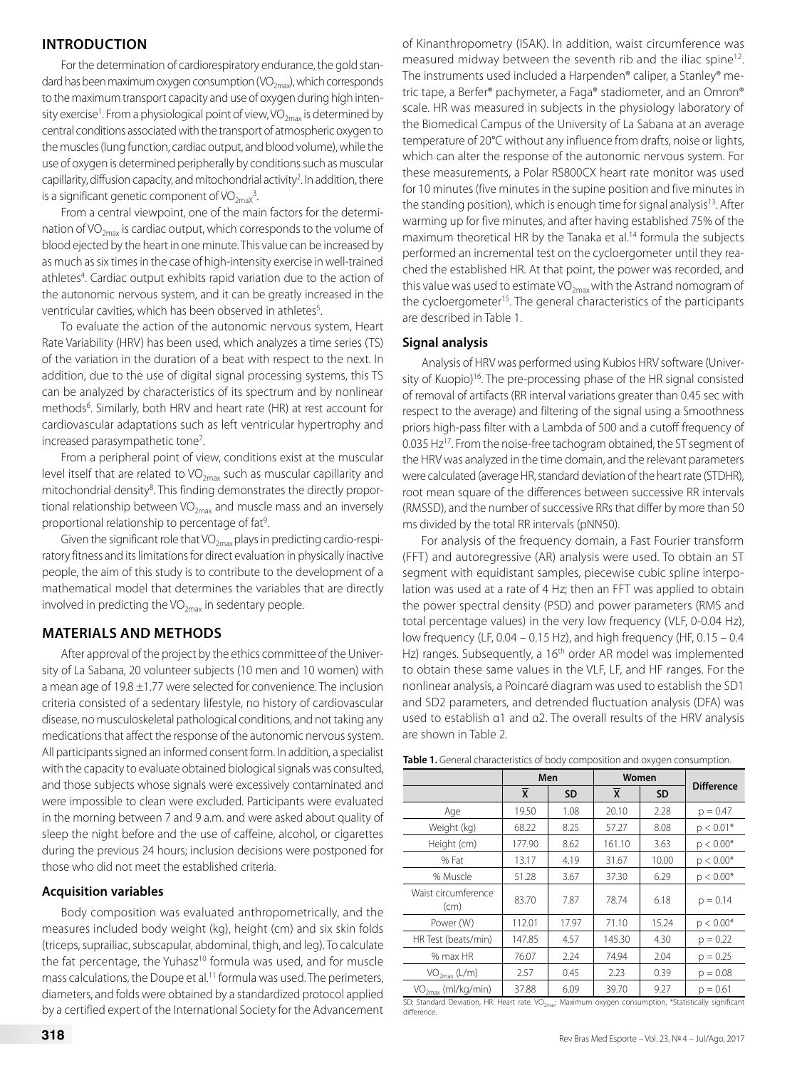## **INTRODUCTION**

For the determination of cardiorespiratory endurance, the gold standard has been maximum oxygen consumption ( $VO_{2m}$ <sub>x</sub>), which corresponds to the maximum transport capacity and use of oxygen during high intensity exercise<sup>1</sup>. From a physiological point of view, VO<sub>2max</sub> is determined by central conditions associated with the transport of atmospheric oxygen to the muscles (lung function, cardiac output, and blood volume), while the use of oxygen is determined peripherally by conditions such as muscular capillarity, diffusion capacity, and mitochondrial activity<sup>2</sup>. In addition, there is a significant genetic component of  $VO<sub>2max</sub><sup>3</sup>$ . .

From a central viewpoint, one of the main factors for the determination of VO<sub>2max</sub> is cardiac output, which corresponds to the volume of blood ejected by the heart in one minute. This value can be increased by as much as six times in the case of high-intensity exercise in well-trained athletes<sup>4</sup>. Cardiac output exhibits rapid variation due to the action of the autonomic nervous system, and it can be greatly increased in the ventricular cavities, which has been observed in athletes<sup>5</sup>.

To evaluate the action of the autonomic nervous system, Heart Rate Variability (HRV) has been used, which analyzes a time series (TS) of the variation in the duration of a beat with respect to the next. In addition, due to the use of digital signal processing systems, this TS can be analyzed by characteristics of its spectrum and by nonlinear methods<sup>6</sup>. Similarly, both HRV and heart rate (HR) at rest account for cardiovascular adaptations such as left ventricular hypertrophy and increased parasympathetic tone<sup>7</sup>.

From a peripheral point of view, conditions exist at the muscular level itself that are related to  $VO_{2max}$  such as muscular capillarity and mitochondrial density<sup>8</sup>. This finding demonstrates the directly proportional relationship between  $VO_{2\text{max}}$  and muscle mass and an inversely proportional relationship to percentage of fat<sup>9</sup>.

Given the significant role that  $VO_{2max}$  plays in predicting cardio-respiratory fitness and its limitations for direct evaluation in physically inactive people, the aim of this study is to contribute to the development of a mathematical model that determines the variables that are directly involved in predicting the  $VO<sub>2max</sub>$  in sedentary people.

#### **MATERIALS AND METHODS**

After approval of the project by the ethics committee of the University of La Sabana, 20 volunteer subjects (10 men and 10 women) with a mean age of 19.8 ±1.77 were selected for convenience. The inclusion criteria consisted of a sedentary lifestyle, no history of cardiovascular disease, no musculoskeletal pathological conditions, and not taking any medications that affect the response of the autonomic nervous system. All participants signed an informed consent form. In addition, a specialist with the capacity to evaluate obtained biological signals was consulted, and those subjects whose signals were excessively contaminated and were impossible to clean were excluded. Participants were evaluated in the morning between 7 and 9 a.m. and were asked about quality of sleep the night before and the use of caffeine, alcohol, or cigarettes during the previous 24 hours; inclusion decisions were postponed for those who did not meet the established criteria.

#### **Acquisition variables**

Body composition was evaluated anthropometrically, and the measures included body weight (kg), height (cm) and six skin folds (triceps, suprailiac, subscapular, abdominal, thigh, and leg). To calculate the fat percentage, the Yuhasz<sup>10</sup> formula was used, and for muscle mass calculations, the Doupe et al.<sup>11</sup> formula was used. The perimeters, diameters, and folds were obtained by a standardized protocol applied by a certified expert of the International Society for the Advancement of Kinanthropometry (ISAK). In addition, waist circumference was measured midway between the seventh rib and the iliac spine12. The instruments used included a Harpenden® caliper, a Stanley® metric tape, a Berfer® pachymeter, a Faga® stadiometer, and an Omron® scale. HR was measured in subjects in the physiology laboratory of the Biomedical Campus of the University of La Sabana at an average temperature of 20°C without any influence from drafts, noise or lights, which can alter the response of the autonomic nervous system. For these measurements, a Polar RS800CX heart rate monitor was used for 10 minutes (five minutes in the supine position and five minutes in the standing position), which is enough time for signal analysis $13$ . After warming up for five minutes, and after having established 75% of the maximum theoretical HR by the Tanaka et al.<sup>14</sup> formula the subjects performed an incremental test on the cycloergometer until they reached the established HR. At that point, the power was recorded, and this value was used to estimate  $VO_{2\text{max}}$  with the Astrand nomogram of the cycloergometer<sup>15</sup>. The general characteristics of the participants are described in Table 1.

#### **Signal analysis**

Analysis of HRV was performed using Kubios HRV software (University of Kuopio)<sup>16</sup>. The pre-processing phase of the HR signal consisted of removal of artifacts (RR interval variations greater than 0.45 sec with respect to the average) and filtering of the signal using a Smoothness priors high-pass filter with a Lambda of 500 and a cutoff frequency of 0.035 Hz<sup>17</sup>. From the noise-free tachogram obtained, the ST segment of the HRV was analyzed in the time domain, and the relevant parameters were calculated (average HR, standard deviation of the heart rate (STDHR), root mean square of the differences between successive RR intervals (RMSSD), and the number of successive RRs that differ by more than 50 ms divided by the total RR intervals (pNN50).

For analysis of the frequency domain, a Fast Fourier transform (FFT) and autoregressive (AR) analysis were used. To obtain an ST segment with equidistant samples, piecewise cubic spline interpolation was used at a rate of 4 Hz; then an FFT was applied to obtain the power spectral density (PSD) and power parameters (RMS and total percentage values) in the very low frequency (VLF, 0-0.04 Hz), low frequency (LF, 0.04 – 0.15 Hz), and high frequency (HF, 0.15 – 0.4 Hz) ranges. Subsequently, a 16<sup>th</sup> order AR model was implemented to obtain these same values in the VLF, LF, and HF ranges. For the nonlinear analysis, a Poincaré diagram was used to establish the SD1 and SD2 parameters, and detrended fluctuation analysis (DFA) was used to establish α1 and α2. The overall results of the HRV analysis are shown in Table 2.

|  | Table 1. General characteristics of body composition and oxygen consumption. |
|--|------------------------------------------------------------------------------|
|--|------------------------------------------------------------------------------|

|                                | Men    |           | Women  |           |                   |
|--------------------------------|--------|-----------|--------|-----------|-------------------|
|                                | X      | <b>SD</b> | X      | <b>SD</b> | <b>Difference</b> |
| Age                            | 19.50  | 1.08      | 20.10  | 2.28      | $p = 0.47$        |
| Weight (kg)                    | 68.22  | 8.25      | 57.27  | 8.08      | $p < 0.01*$       |
| Height (cm)                    | 177.90 | 8.62      | 161.10 | 3.63      | $p < 0.00*$       |
| % Fat                          | 13.17  | 4.19      | 31.67  | 10.00     | $p < 0.00*$       |
| % Muscle                       | 51.28  | 3.67      | 37.30  | 6.29      | $p < 0.00*$       |
| Waist circumference<br>(cm)    | 83.70  | 7.87      | 78.74  | 6.18      | $p = 0.14$        |
| Power (W)                      | 112.01 | 17.97     | 71.10  | 15.24     | $p < 0.00*$       |
| HR Test (beats/min)            | 147.85 | 4.57      | 145.30 | 4.30      | $p = 0.22$        |
| % max HR                       | 76.07  | 2.24      | 74.94  | 2.04      | $p = 0.25$        |
| VO <sub>2max</sub> (L/m)       | 2.57   | 0.45      | 2.23   | 0.39      | $p = 0.08$        |
| VO <sub>2max</sub> (ml/kg/min) | 37.88  | 6.09      | 39.70  | 9.27      | $p = 0.61$        |

SD: Standard Deviation, HR: Heart rate, VO<sub>2max</sub>: Maximum oxygen consumption, \*Statistically significant difference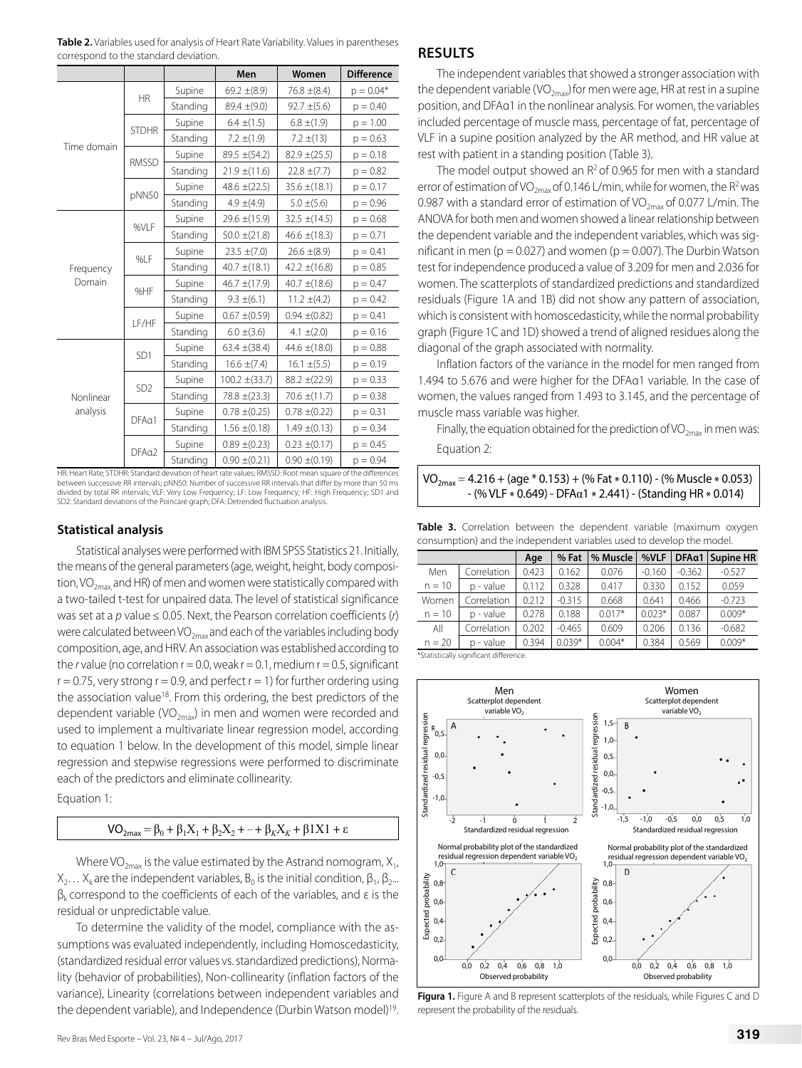|                                            |                 |                   | Men                              | Women             | <b>Difference</b>             |
|--------------------------------------------|-----------------|-------------------|----------------------------------|-------------------|-------------------------------|
|                                            |                 | Supine            | 69.2 $\pm$ (8.9)                 | $76.8 \pm (8.4)$  | $p = 0.04*$                   |
|                                            | <b>HR</b>       | Standing          | $89.4 \pm (9.0)$                 | $92.7 \pm (5.6)$  | $p = 0.40$                    |
|                                            | <b>STDHR</b>    | Supine            | $6.4 \pm (1.5)$                  | $6.8 \pm (1.9)$   | $p = 1.00$                    |
|                                            |                 | Standing          | $7.2 \pm (1.9)$                  | $7.2 \pm (13)$    | $p = 0.63$                    |
| Time domain                                | <b>RMSSD</b>    | Supine            | $89.5 \pm (54.2)$                | $82.9 \pm (25.5)$ | $p = 0.18$                    |
|                                            |                 | Standing          | $21.9 \pm (11.6)$                | $22.8 \pm (7.7)$  | $p = 0.82$                    |
|                                            | pNN50           | Supine            | 48.6 $\pm$ (22.5)                | $35.6 \pm (18.1)$ | $p = 0.17$                    |
|                                            |                 | Standing          | $4.9 \pm (4.9)$                  | $5.0 \pm (5.6)$   | $p = 0.96$                    |
|                                            | %VLF            | Supine            | $29.6 \pm (15.9)$                | $32.5 \pm (14.5)$ | $p = 0.68$                    |
|                                            |                 | Standing          | $50.0 \pm (21.8)$                | 46.6 $\pm$ (18.3) | $p = 0.71$                    |
|                                            | %LF             | Supine            | $23.5 \pm (7.0)$                 | $26.6 \pm (8.9)$  | $p = 0.41$                    |
| Frequency                                  |                 | Standing          | 40.7 $\pm$ (18.1)                | 42.2 $\pm$ (16.8) | $p = 0.85$                    |
| Domain                                     | %HF             | Supine            | 46.7 $\pm$ (17.9)                | $40.7 \pm (18.6)$ | $p = 0.47$                    |
|                                            |                 | Standing          | $9.3 \pm (6.1)$                  | $11.2 \pm (4.2)$  | $p = 0.42$                    |
|                                            | LF/HF           | Supine            | $0.67 \pm (0.59)$                | $0.94 \pm (0.82)$ | $p = 0.41$                    |
|                                            |                 | Standing          | $6.0 \pm (3.6)$                  | 4.1 $\pm$ (2.0)   | $p = 0.16$                    |
| Nonlinear<br>analysis                      | SD <sub>1</sub> | Supine            | $63.4 \pm (38.4)$                | 44.6 $\pm$ (18.0) | $p = 0.88$                    |
|                                            |                 | Standing          | $16.6 \pm (7.4)$                 | $16.1 \pm (5.5)$  | $p = 0.19$                    |
|                                            | SD <sub>2</sub> | Supine            | $100.2 \pm (33.7)$               | $88.2 \pm (22.9)$ | $p = 0.33$                    |
|                                            |                 | Standing          | $78.8 \pm (23.3)$                | $70.6 \pm (11.7)$ | $p = 0.38$                    |
|                                            | DFAa1           | Supine            | $0.78 \pm (0.25)$                | $0.78 \pm (0.22)$ | $p = 0.31$                    |
|                                            |                 | Standing          | $1.56 \pm (0.18)$                | $1.49 \pm (0.13)$ | $p = 0.34$                    |
|                                            | $DFA\alpha2$    | Supine            | $0.89 \pm (0.23)$                | $0.23 \pm (0.17)$ | $p = 0.45$                    |
| LIB LIFE ALLE CEDUID, Care dead de Service |                 | Standing<br>$-41$ | $0.90 \pm (0.21)$<br>. 011000000 | $0.90 \pm (0.19)$ | $p = 0.94$<br>$-4 + 1 = -124$ |

**Table 2.** Variables used for analysis of Heart Rate Variability. Values in parentheses correspond to the standard deviation.

HR: Heart Rate; STDHR: Standard deviation of heart rate values; RMSSD: Root mean square of the differences between successive RR intervals; pNN50: Number of successive RR intervals that differ by more than 50 ms divided by total RR intervals; VLF: Very Low Frequency; LF: Low Frequency; HF: High Frequency; SD1 and SD2: Standard deviations of the Poincaré graph; DFA: Detrended fluctuation analysis.

#### **Statistical analysis**

Statistical analyses were performed with IBM SPSS Statistics 21. Initially, the means of the general parameters (age, weight, height, body composition, VO<sub>2max</sub> and HR) of men and women were statistically compared with a two-tailed t-test for unpaired data. The level of statistical significance was set at a *p* value ≤ 0.05. Next, the Pearson correlation coefficients (*r*) were calculated between VO<sub>2max</sub> and each of the variables including body composition, age, and HRV. An association was established according to the  $r$  value (no correlation  $r = 0.0$ , weak  $r = 0.1$ , medium  $r = 0.5$ , significant  $r = 0.75$ , very strong  $r = 0.9$ , and perfect  $r = 1$ ) for further ordering using the association value<sup>18</sup>. From this ordering, the best predictors of the dependent variable (VO $_{2\text{max}}$ ) in men and women were recorded and used to implement a multivariate linear regression model, according to equation 1 below. In the development of this model, simple linear regression and stepwise regressions were performed to discriminate each of the predictors and eliminate collinearity.

Equation 1:

## VO<sub>2max</sub> = β<sub>0</sub> + β<sub>1</sub>X<sub>1</sub> + β<sub>2</sub>X<sub>2</sub> +  $+$  + β<sub>K</sub>X<sub>K</sub> + β1X1 + ε

Where VO<sub>2max</sub> is the value estimated by the Astrand nomogram,  $X_1$ ,  $X_2... X_k$  are the independent variables,  $B_0$  is the initial condition,  $\beta_1$ ,  $\beta_2...$  $β<sub>k</sub>$  correspond to the coefficients of each of the variables, and ε is the residual or unpredictable value.

To determine the validity of the model, compliance with the assumptions was evaluated independently, including Homoscedasticity, (standardized residual error values vs. standardized predictions), Normality (behavior of probabilities), Non-collinearity (inflation factors of the variance), Linearity (correlations between independent variables and the dependent variable), and Independence (Durbin Watson model)<sup>19</sup>.

## **RESULTS**

The independent variables that showed a stronger association with the dependent variable (VO<sub>2max</sub>) for men were age, HR at rest in a supine position, and DFAα1 in the nonlinear analysis. For women, the variables included percentage of muscle mass, percentage of fat, percentage of VLF in a supine position analyzed by the AR method, and HR value at rest with patient in a standing position (Table 3).

The model output showed an  $R^2$  of 0.965 for men with a standard error of estimation of VO<sub>2max</sub> of 0.146 L/min, while for women, the R<sup>2</sup> was 0.987 with a standard error of estimation of VO<sub>2may</sub> of 0.077 L/min. The ANOVA for both men and women showed a linear relationship between the dependent variable and the independent variables, which was significant in men ( $p = 0.027$ ) and women ( $p = 0.007$ ). The Durbin Watson test for independence produced a value of 3.209 for men and 2.036 for women. The scatterplots of standardized predictions and standardized residuals (Figure 1A and 1B) did not show any pattern of association, which is consistent with homoscedasticity, while the normal probability graph (Figure 1C and 1D) showed a trend of aligned residues along the diagonal of the graph associated with normality.

Inflation factors of the variance in the model for men ranged from 1.494 to 5.676 and were higher for the DFAα1 variable. In the case of women, the values ranged from 1.493 to 3.145, and the percentage of muscle mass variable was higher.

Finally, the equation obtained for the prediction of VO<sub>2max</sub> in men was: Equation 2:

$$
VO_{2max} = 4.216 + (age * 0.153) + (%) (8.110) - (%) (8.412 + 0.053)
$$
  
- (%) VLF \* 0.649) - DFA<sub>α1</sub> \* 2.441) - (Standing HR \* 0.014)

**Table 3.** Correlation between the dependent variable (maximum oxygen consumption) and the independent variables used to develop the model.

|          |              | Age   | % Fat    | % Muscle | %VLF     | DFAa1    | Supine HR |
|----------|--------------|-------|----------|----------|----------|----------|-----------|
| Men      | Correlation  | 0.423 | 0.162    | 0.076    | $-0.160$ | $-0.362$ | $-0.527$  |
| $n = 10$ | p - value    | 0.112 | 0.328    | 0.417    | 0.330    | 0.152    | 0.059     |
| Women    | Correlation  | 0.212 | $-0.315$ | 0.668    | 0.641    | 0.466    | $-0.723$  |
| $n = 10$ | - value<br>n | 0.278 | 0.188    | $0.017*$ | $0.023*$ | 0.087    | $0.009*$  |
| All      | Correlation  | 0.202 | $-0.465$ | 0.609    | 0.206    | 0.136    | $-0.682$  |
| $n = 20$ | - value<br>n | 0.394 | $0.039*$ | $0.004*$ | 0.384    | 0.569    | $0.009*$  |

\*Statistically significant difference.



**Figura 1.** Figure A and B represent scatterplots of the residuals, while Figures C and D represent the probability of the residuals.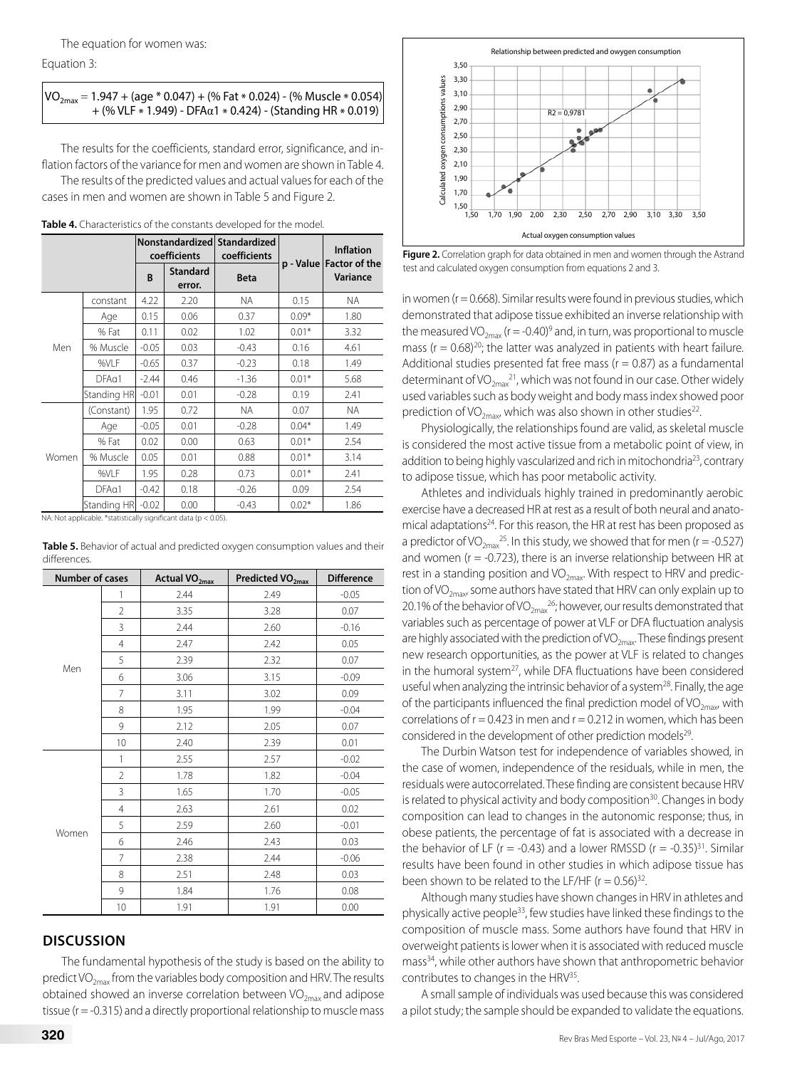Equation 3:

#### $VO_{2max} = 1.947 + (age * 0.047) + (%)$  Fat  $*$  0.024) - (% Muscle  $*$  0.054) + (% VLF \* 1.949) - DFAα1 \* 0.424) - (Standing HR \* 0.019)

The results for the coefficients, standard error, significance, and inflation factors of the variance for men and women are shown in Table 4. The results of the predicted values and actual values for each of the cases in men and women are shown in Table 5 and Figure 2.

|       |                                                                 |         | coefficients              | Nonstandardized Standardized<br>coefficients |         | <b>Inflation</b><br>p - Value   Factor of the<br>Variance |
|-------|-----------------------------------------------------------------|---------|---------------------------|----------------------------------------------|---------|-----------------------------------------------------------|
|       |                                                                 | B       | <b>Standard</b><br>error. | <b>Beta</b>                                  |         |                                                           |
|       | constant                                                        | 4.22    | 2.20                      | NA.                                          | 0.15    | NA.                                                       |
|       | Age                                                             | 0.15    | 0.06                      | 0.37                                         | $0.09*$ | 1.80                                                      |
|       | % Fat                                                           | 0.11    | 0.02                      | 1.02                                         | $0.01*$ | 3.32                                                      |
| Men   | % Muscle                                                        | $-0.05$ | 0.03                      | $-0.43$                                      | 0.16    | 4.61                                                      |
|       | %VLF                                                            | $-0.65$ | 0.37                      | $-0.23$                                      | 0.18    | 1.49                                                      |
|       | DFA <sub>01</sub>                                               | $-2.44$ | 0.46                      | $-1.36$                                      | $0.01*$ | 5.68                                                      |
|       | Standing HR                                                     | $-0.01$ | 0.01                      | $-0.28$                                      | 0.19    | 2.41                                                      |
|       | (Constant)                                                      | 1.95    | 0.72                      | NA.                                          | 0.07    | NA.                                                       |
|       | Age                                                             | $-0.05$ | 0.01                      | $-0.28$                                      | $0.04*$ | 1.49                                                      |
|       | % Fat                                                           | 0.02    | 0.00                      | 0.63                                         | $0.01*$ | 2.54                                                      |
| Women | % Muscle                                                        | 0.05    | 0.01                      | 0.88                                         | $0.01*$ | 3.14                                                      |
|       | %VLF                                                            | 1.95    | 0.28                      | 0.73                                         | $0.01*$ | 2.41                                                      |
|       | $DFA\alpha1$                                                    | $-0.42$ | 0.18                      | $-0.26$                                      | 0.09    | 2.54                                                      |
|       | Standing HR                                                     | $-0.02$ | 0.00                      | $-0.43$                                      | $0.02*$ | 1.86                                                      |
|       | NA: Not applicable. *statistically significant data (p < 0.05). |         |                           |                                              |         |                                                           |

| Number of cases |                 | Actual VO <sub>2max</sub> | Predicted VO <sub>2max</sub> | <b>Difference</b> |
|-----------------|-----------------|---------------------------|------------------------------|-------------------|
|                 | 1               | 2.44                      | 2.49                         | $-0.05$           |
|                 | $\overline{2}$  | 3.35                      | 3.28                         | 0.07              |
|                 | 3               | 2.44                      | 2.60                         | $-0.16$           |
|                 | $\overline{4}$  | 2.47                      | 2.42                         | 0.05              |
|                 | 5               | 2.39                      | 2.32                         | 0.07              |
| Men             | 6               | 3.06                      | 3.15                         | $-0.09$           |
|                 | 7               | 3.11                      | 3.02                         | 0.09              |
|                 | 8               | 1.95                      | 1.99                         | $-0.04$           |
|                 | 9               | 2.12                      | 2.05                         | 0.07              |
|                 | 10              | 2.40                      | 2.39                         | 0.01              |
|                 | 1               | 2.55                      | 2.57                         | $-0.02$           |
|                 | $\overline{2}$  | 1.78                      | 1.82                         | $-0.04$           |
|                 | 3               | 1.65                      | 1.70                         | $-0.05$           |
|                 | $\overline{4}$  | 2.63                      | 2.61                         | 0.02              |
|                 | 5               | 2.59                      | 2.60                         | $-0.01$           |
| Women           | 6               | 2.46                      | 2.43                         | 0.03              |
|                 | 7               | 2.38                      | 2.44                         | $-0.06$           |
|                 | 8               | 2.51                      | 2.48                         | 0.03              |
|                 | 9               | 1.84                      | 1.76                         | 0.08              |
|                 | 10 <sup>1</sup> | 1.91                      | 1.91                         | 0.00              |

| Table 5. Behavior of actual and predicted oxygen consumption values and their |  |
|-------------------------------------------------------------------------------|--|
| differences.                                                                  |  |

# **DISCUSSION**

The fundamental hypothesis of the study is based on the ability to predict VO $_{2\text{max}}$  from the variables body composition and HRV. The results obtained showed an inverse correlation between  $VO_{2max}$  and adipose tissue (r = -0.315) and a directly proportional relationship to muscle mass



**Figure 2.** Correlation graph for data obtained in men and women through the Astrand test and calculated oxygen consumption from equations 2 and 3.

in women ( $r = 0.668$ ). Similar results were found in previous studies, which demonstrated that adipose tissue exhibited an inverse relationship with the measured VO<sub>2max</sub> (r = -0.40)<sup>9</sup> and, in turn, was proportional to muscle mass ( $r = 0.68$ )<sup>20</sup>; the latter was analyzed in patients with heart failure. Additional studies presented fat free mass ( $r = 0.87$ ) as a fundamental determinant of VO<sub>2max</sub><sup>21</sup>, which was not found in our case. Other widely used variables such as body weight and body mass index showed poor prediction of VO<sub>2max</sub>, which was also shown in other studies<sup>22</sup>.

Physiologically, the relationships found are valid, as skeletal muscle is considered the most active tissue from a metabolic point of view, in addition to being highly vascularized and rich in mitochondria<sup>23</sup>, contrary to adipose tissue, which has poor metabolic activity.

Athletes and individuals highly trained in predominantly aerobic exercise have a decreased HR at rest as a result of both neural and anatomical adaptations<sup>24</sup>. For this reason, the HR at rest has been proposed as a predictor of VO<sub>2max</sub><sup>25</sup>. In this study, we showed that for men (r = -0.527) and women ( $r = -0.723$ ), there is an inverse relationship between HR at rest in a standing position and  $VO_{2\text{max}}$ . With respect to HRV and prediction of VO<sub>2max</sub>, some authors have stated that HRV can only explain up to 20.1% of the behavior of VO<sub>2max</sub><sup>26</sup>; however, our results demonstrated that variables such as percentage of power at VLF or DFA fluctuation analysis are highly associated with the prediction of VO<sub>2may</sub>. These findings present new research opportunities, as the power at VLF is related to changes in the humoral system<sup>27</sup>, while DFA fluctuations have been considered useful when analyzing the intrinsic behavior of a system<sup>28</sup>. Finally, the age of the participants influenced the final prediction model of  $VO_{2mav}$ , with correlations of  $r = 0.423$  in men and  $r = 0.212$  in women, which has been considered in the development of other prediction models<sup>29</sup>.

The Durbin Watson test for independence of variables showed, in the case of women, independence of the residuals, while in men, the residuals were autocorrelated. These finding are consistent because HRV is related to physical activity and body composition $30$ . Changes in body composition can lead to changes in the autonomic response; thus, in obese patients, the percentage of fat is associated with a decrease in the behavior of LF ( $r = -0.43$ ) and a lower RMSSD ( $r = -0.35$ )<sup>31</sup>. Similar results have been found in other studies in which adipose tissue has been shown to be related to the LF/HF ( $r = 0.56$ )<sup>32</sup>.

Although many studies have shown changes in HRV in athletes and physically active people<sup>33</sup>, few studies have linked these findings to the composition of muscle mass. Some authors have found that HRV in overweight patients is lower when it is associated with reduced muscle mass<sup>34</sup>, while other authors have shown that anthropometric behavior contributes to changes in the HRV<sup>35</sup>.

A small sample of individuals was used because this was considered a pilot study; the sample should be expanded to validate the equations.